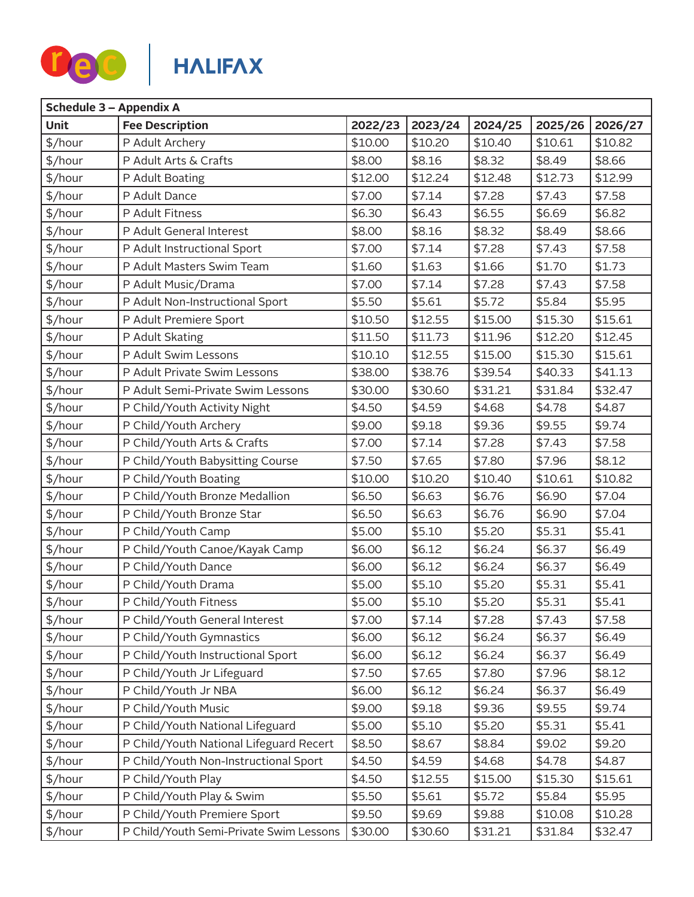

|             | Schedule 3 - Appendix A                 |         |         |         |         |         |  |  |
|-------------|-----------------------------------------|---------|---------|---------|---------|---------|--|--|
| <b>Unit</b> | <b>Fee Description</b>                  | 2022/23 | 2023/24 | 2024/25 | 2025/26 | 2026/27 |  |  |
| \$/hour     | P Adult Archery                         | \$10.00 | \$10.20 | \$10.40 | \$10.61 | \$10.82 |  |  |
| \$/hour     | P Adult Arts & Crafts                   | \$8.00  | \$8.16  | \$8.32  | \$8.49  | \$8.66  |  |  |
| \$/hour     | P Adult Boating                         | \$12.00 | \$12.24 | \$12.48 | \$12.73 | \$12.99 |  |  |
| \$/hour     | P Adult Dance                           | \$7.00  | \$7.14  | \$7.28  | \$7.43  | \$7.58  |  |  |
| \$/hour     | P Adult Fitness                         | \$6.30  | \$6.43  | \$6.55  | \$6.69  | \$6.82  |  |  |
| \$/hour     | P Adult General Interest                | \$8.00  | \$8.16  | \$8.32  | \$8.49  | \$8.66  |  |  |
| \$/hour     | P Adult Instructional Sport             | \$7.00  | \$7.14  | \$7.28  | \$7.43  | \$7.58  |  |  |
| \$/hour     | P Adult Masters Swim Team               | \$1.60  | \$1.63  | \$1.66  | \$1.70  | \$1.73  |  |  |
| \$/hour     | P Adult Music/Drama                     | \$7.00  | \$7.14  | \$7.28  | \$7.43  | \$7.58  |  |  |
| \$/hour     | P Adult Non-Instructional Sport         | \$5.50  | \$5.61  | \$5.72  | \$5.84  | \$5.95  |  |  |
| \$/hour     | P Adult Premiere Sport                  | \$10.50 | \$12.55 | \$15.00 | \$15.30 | \$15.61 |  |  |
| \$/hour     | P Adult Skating                         | \$11.50 | \$11.73 | \$11.96 | \$12.20 | \$12.45 |  |  |
| \$/hour     | P Adult Swim Lessons                    | \$10.10 | \$12.55 | \$15.00 | \$15.30 | \$15.61 |  |  |
| \$/hour     | P Adult Private Swim Lessons            | \$38.00 | \$38.76 | \$39.54 | \$40.33 | \$41.13 |  |  |
| \$/hour     | P Adult Semi-Private Swim Lessons       | \$30.00 | \$30.60 | \$31.21 | \$31.84 | \$32.47 |  |  |
| \$/hour     | P Child/Youth Activity Night            | \$4.50  | \$4.59  | \$4.68  | \$4.78  | \$4.87  |  |  |
| \$/hour     | P Child/Youth Archery                   | \$9.00  | \$9.18  | \$9.36  | \$9.55  | \$9.74  |  |  |
| \$/hour     | P Child/Youth Arts & Crafts             | \$7.00  | \$7.14  | \$7.28  | \$7.43  | \$7.58  |  |  |
| \$/hour     | P Child/Youth Babysitting Course        | \$7.50  | \$7.65  | \$7.80  | \$7.96  | \$8.12  |  |  |
| \$/hour     | P Child/Youth Boating                   | \$10.00 | \$10.20 | \$10.40 | \$10.61 | \$10.82 |  |  |
| \$/hour     | P Child/Youth Bronze Medallion          | \$6.50  | \$6.63  | \$6.76  | \$6.90  | \$7.04  |  |  |
| \$/hour     | P Child/Youth Bronze Star               | \$6.50  | \$6.63  | \$6.76  | \$6.90  | \$7.04  |  |  |
| \$/hour     | P Child/Youth Camp                      | \$5.00  | \$5.10  | \$5.20  | \$5.31  | \$5.41  |  |  |
| \$/hour     | P Child/Youth Canoe/Kayak Camp          | \$6.00  | \$6.12  | \$6.24  | \$6.37  | \$6.49  |  |  |
| \$/hour     | P Child/Youth Dance                     | \$6.00  | \$6.12  | \$6.24  | \$6.37  | \$6.49  |  |  |
| \$/hour     | P Child/Youth Drama                     | \$5.00  | \$5.10  | \$5.20  | \$5.31  | \$5.41  |  |  |
| \$/hour     | P Child/Youth Fitness                   | \$5.00  | \$5.10  | \$5.20  | \$5.31  | \$5.41  |  |  |
| \$/hour     | P Child/Youth General Interest          | \$7.00  | \$7.14  | \$7.28  | \$7.43  | \$7.58  |  |  |
| \$/hour     | P Child/Youth Gymnastics                | \$6.00  | \$6.12  | \$6.24  | \$6.37  | \$6.49  |  |  |
| \$/hour     | P Child/Youth Instructional Sport       | \$6.00  | \$6.12  | \$6.24  | \$6.37  | \$6.49  |  |  |
| \$/hour     | P Child/Youth Jr Lifeguard              | \$7.50  | \$7.65  | \$7.80  | \$7.96  | \$8.12  |  |  |
| \$/hour     | P Child/Youth Jr NBA                    | \$6.00  | \$6.12  | \$6.24  | \$6.37  | \$6.49  |  |  |
| \$/hour     | P Child/Youth Music                     | \$9.00  | \$9.18  | \$9.36  | \$9.55  | \$9.74  |  |  |
| \$/hour     | P Child/Youth National Lifeguard        | \$5.00  | \$5.10  | \$5.20  | \$5.31  | \$5.41  |  |  |
| \$/hour     | P Child/Youth National Lifeguard Recert | \$8.50  | \$8.67  | \$8.84  | \$9.02  | \$9.20  |  |  |
| \$/hour     | P Child/Youth Non-Instructional Sport   | \$4.50  | \$4.59  | \$4.68  | \$4.78  | \$4.87  |  |  |
| \$/hour     | P Child/Youth Play                      | \$4.50  | \$12.55 | \$15.00 | \$15.30 | \$15.61 |  |  |
| \$/hour     | P Child/Youth Play & Swim               | \$5.50  | \$5.61  | \$5.72  | \$5.84  | \$5.95  |  |  |
| \$/hour     | P Child/Youth Premiere Sport            | \$9.50  | \$9.69  | \$9.88  | \$10.08 | \$10.28 |  |  |
| \$/hour     | P Child/Youth Semi-Private Swim Lessons | \$30.00 | \$30.60 | \$31.21 | \$31.84 | \$32.47 |  |  |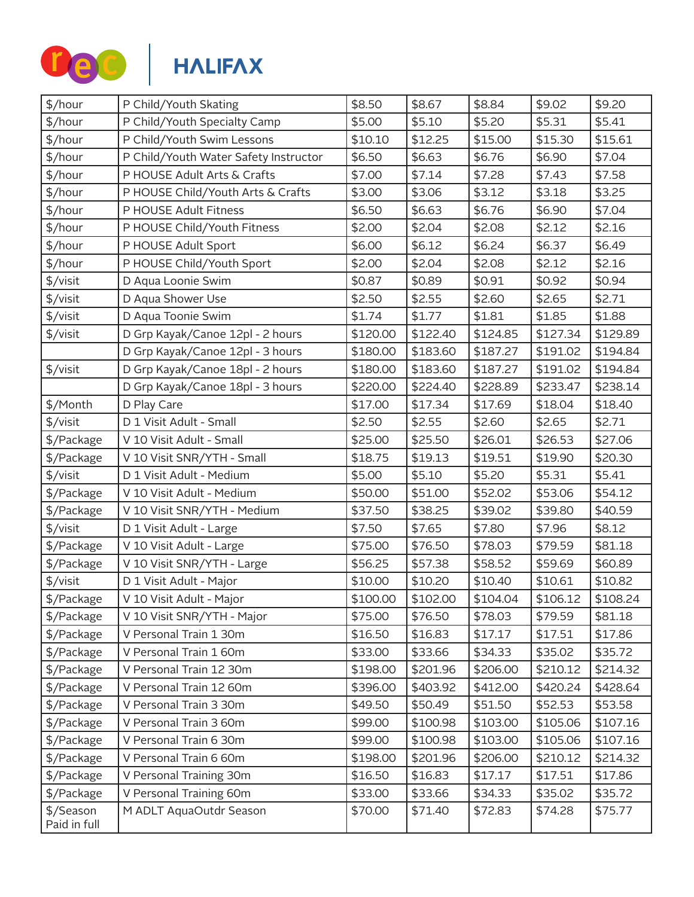

| \$/hour                   | P Child/Youth Skating                 | \$8.50   | \$8.67   | \$8.84   | \$9.02   | \$9.20   |
|---------------------------|---------------------------------------|----------|----------|----------|----------|----------|
| \$/hour                   | P Child/Youth Specialty Camp          | \$5.00   | \$5.10   | \$5.20   | \$5.31   | \$5.41   |
| \$/hour                   | P Child/Youth Swim Lessons            | \$10.10  | \$12.25  | \$15.00  | \$15.30  | \$15.61  |
| \$/hour                   | P Child/Youth Water Safety Instructor | \$6.50   | \$6.63   | \$6.76   | \$6.90   | \$7.04   |
| \$/hour                   | P HOUSE Adult Arts & Crafts           | \$7.00   | \$7.14   | \$7.28   | \$7.43   | \$7.58   |
| \$/hour                   | P HOUSE Child/Youth Arts & Crafts     | \$3.00   | \$3.06   | \$3.12   | \$3.18   | \$3.25   |
| \$/hour                   | P HOUSE Adult Fitness                 | \$6.50   | \$6.63   | \$6.76   | \$6.90   | \$7.04   |
| \$/hour                   | P HOUSE Child/Youth Fitness           | \$2.00   | \$2.04   | \$2.08   | \$2.12   | \$2.16   |
| \$/hour                   | P HOUSE Adult Sport                   | \$6.00   | \$6.12   | \$6.24   | \$6.37   | \$6.49   |
| \$/hour                   | P HOUSE Child/Youth Sport             | \$2.00   | \$2.04   | \$2.08   | \$2.12   | \$2.16   |
| \$/visit                  | D Aqua Loonie Swim                    | \$0.87   | \$0.89   | \$0.91   | \$0.92   | \$0.94   |
| \$/visit                  | D Aqua Shower Use                     | \$2.50   | \$2.55   | \$2.60   | \$2.65   | \$2.71   |
| \$/visit                  | D Aqua Toonie Swim                    | \$1.74   | \$1.77   | \$1.81   | \$1.85   | \$1.88   |
| \$/visit                  | D Grp Kayak/Canoe 12pl - 2 hours      | \$120.00 | \$122.40 | \$124.85 | \$127.34 | \$129.89 |
|                           | D Grp Kayak/Canoe 12pl - 3 hours      | \$180.00 | \$183.60 | \$187.27 | \$191.02 | \$194.84 |
| \$/visit                  | D Grp Kayak/Canoe 18pl - 2 hours      | \$180.00 | \$183.60 | \$187.27 | \$191.02 | \$194.84 |
|                           | D Grp Kayak/Canoe 18pl - 3 hours      | \$220.00 | \$224.40 | \$228.89 | \$233.47 | \$238.14 |
| \$/Month                  | D Play Care                           | \$17.00  | \$17.34  | \$17.69  | \$18.04  | \$18.40  |
| \$/visit                  | D 1 Visit Adult - Small               | \$2.50   | \$2.55   | \$2.60   | \$2.65   | \$2.71   |
| \$/Package                | V 10 Visit Adult - Small              | \$25.00  | \$25.50  | \$26.01  | \$26.53  | \$27.06  |
| \$/Package                | V 10 Visit SNR/YTH - Small            | \$18.75  | \$19.13  | \$19.51  | \$19.90  | \$20.30  |
| \$/visit                  | D 1 Visit Adult - Medium              | \$5.00   | \$5.10   | \$5.20   | \$5.31   | \$5.41   |
| \$/Package                | V 10 Visit Adult - Medium             | \$50.00  | \$51.00  | \$52.02  | \$53.06  | \$54.12  |
| \$/Package                | V 10 Visit SNR/YTH - Medium           | \$37.50  | \$38.25  | \$39.02  | \$39.80  | \$40.59  |
| \$/visit                  | D 1 Visit Adult - Large               | \$7.50   | \$7.65   | \$7.80   | \$7.96   | \$8.12   |
| \$/Package                | V 10 Visit Adult - Large              | \$75.00  | \$76.50  | \$78.03  | \$79.59  | \$81.18  |
| \$/Package                | V 10 Visit SNR/YTH - Large            | \$56.25  | \$57.38  | \$58.52  | \$59.69  | \$60.89  |
| \$/visit                  | D 1 Visit Adult - Major               | \$10.00  | \$10.20  | \$10.40  | \$10.61  | \$10.82  |
| \$/Package                | V 10 Visit Adult - Major              | \$100.00 | \$102.00 | \$104.04 | \$106.12 | \$108.24 |
| \$/Package                | V 10 Visit SNR/YTH - Major            | \$75.00  | \$76.50  | \$78.03  | \$79.59  | \$81.18  |
| \$/Package                | V Personal Train 1 30m                | \$16.50  | \$16.83  | \$17.17  | \$17.51  | \$17.86  |
| \$/Package                | V Personal Train 1 60m                | \$33.00  | \$33.66  | \$34.33  | \$35.02  | \$35.72  |
| \$/Package                | V Personal Train 12 30m               | \$198.00 | \$201.96 | \$206.00 | \$210.12 | \$214.32 |
| \$/Package                | V Personal Train 12 60m               | \$396.00 | \$403.92 | \$412.00 | \$420.24 | \$428.64 |
| \$/Package                | V Personal Train 3 30m                | \$49.50  | \$50.49  | \$51.50  | \$52.53  | \$53.58  |
| \$/Package                | V Personal Train 3 60m                | \$99.00  | \$100.98 | \$103.00 | \$105.06 | \$107.16 |
| \$/Package                | V Personal Train 6 30m                | \$99.00  | \$100.98 | \$103.00 | \$105.06 | \$107.16 |
| \$/Package                | V Personal Train 6 60m                | \$198.00 | \$201.96 | \$206.00 | \$210.12 | \$214.32 |
| \$/Package                | V Personal Training 30m               | \$16.50  | \$16.83  | \$17.17  | \$17.51  | \$17.86  |
| \$/Package                | V Personal Training 60m               | \$33.00  | \$33.66  | \$34.33  | \$35.02  | \$35.72  |
| \$/Season<br>Paid in full | M ADLT AquaOutdr Season               | \$70.00  | \$71.40  | \$72.83  | \$74.28  | \$75.77  |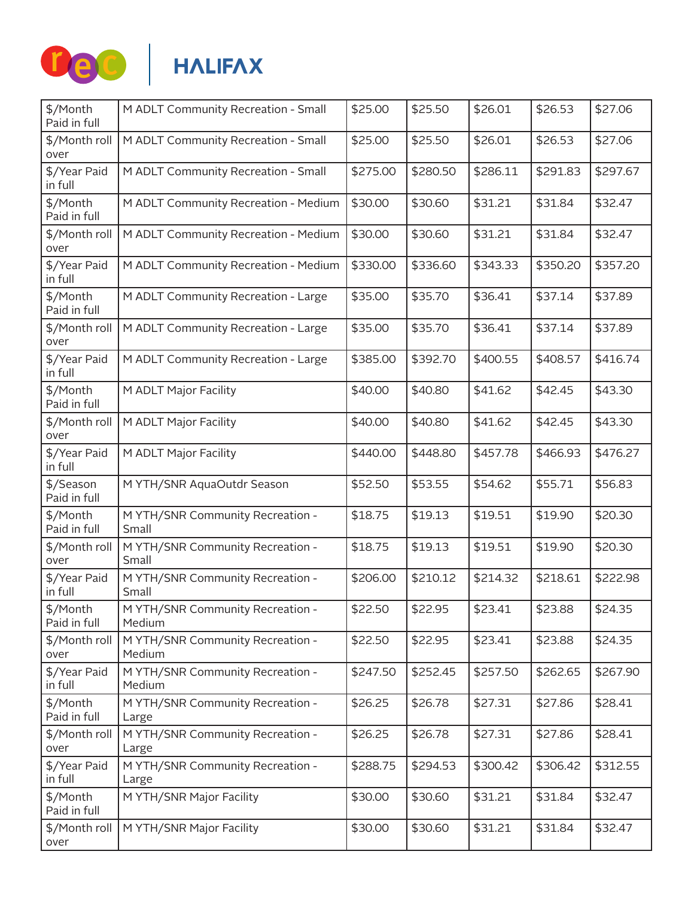

|                                            |                                     |          |          |          | \$27.06  |
|--------------------------------------------|-------------------------------------|----------|----------|----------|----------|
| M ADLT Community Recreation - Small        | \$25.00                             | \$25.50  | \$26.01  | \$26.53  | \$27.06  |
| M ADLT Community Recreation - Small        | \$275.00                            | \$280.50 | \$286.11 | \$291.83 | \$297.67 |
| M ADLT Community Recreation - Medium       | \$30.00                             | \$30.60  | \$31.21  | \$31.84  | \$32.47  |
| M ADLT Community Recreation - Medium       | \$30.00                             | \$30.60  | \$31.21  | \$31.84  | \$32.47  |
| M ADLT Community Recreation - Medium       | \$330.00                            | \$336.60 | \$343.33 | \$350.20 | \$357.20 |
| M ADLT Community Recreation - Large        | \$35.00                             | \$35.70  | \$36.41  | \$37.14  | \$37.89  |
| M ADLT Community Recreation - Large        | \$35.00                             | \$35.70  | \$36.41  | \$37.14  | \$37.89  |
| M ADLT Community Recreation - Large        | \$385.00                            | \$392.70 | \$400.55 | \$408.57 | \$416.74 |
| M ADLT Major Facility                      | \$40.00                             | \$40.80  | \$41.62  | \$42.45  | \$43.30  |
| M ADLT Major Facility                      | \$40.00                             | \$40.80  | \$41.62  | \$42.45  | \$43.30  |
| M ADLT Major Facility                      | \$440.00                            | \$448.80 | \$457.78 | \$466.93 | \$476.27 |
| M YTH/SNR AquaOutdr Season                 | \$52.50                             | \$53.55  | \$54.62  | \$55.71  | \$56.83  |
| M YTH/SNR Community Recreation -<br>Small  | \$18.75                             | \$19.13  | \$19.51  | \$19.90  | \$20.30  |
| M YTH/SNR Community Recreation -<br>Small  | \$18.75                             | \$19.13  | \$19.51  | \$19.90  | \$20.30  |
| M YTH/SNR Community Recreation -<br>Small  | \$206.00                            | \$210.12 | \$214.32 | \$218.61 | \$222.98 |
| M YTH/SNR Community Recreation -<br>Medium | \$22.50                             | \$22.95  | \$23.41  | \$23.88  | \$24.35  |
| M YTH/SNR Community Recreation -<br>Medium | \$22.50                             | \$22.95  | \$23.41  | \$23.88  | \$24.35  |
| M YTH/SNR Community Recreation -<br>Medium | \$247.50                            | \$252.45 | \$257.50 | \$262.65 | \$267.90 |
| M YTH/SNR Community Recreation -<br>Large  | \$26.25                             | \$26.78  | \$27.31  | \$27.86  | \$28.41  |
| M YTH/SNR Community Recreation -<br>Large  | \$26.25                             | \$26.78  | \$27.31  | \$27.86  | \$28.41  |
| M YTH/SNR Community Recreation -<br>Large  | \$288.75                            | \$294.53 | \$300.42 | \$306.42 | \$312.55 |
| M YTH/SNR Major Facility                   | \$30.00                             | \$30.60  | \$31.21  | \$31.84  | \$32.47  |
| M YTH/SNR Major Facility                   | \$30.00                             | \$30.60  | \$31.21  | \$31.84  | \$32.47  |
|                                            | M ADLT Community Recreation - Small | \$25.00  | \$25.50  | \$26.01  | \$26.53  |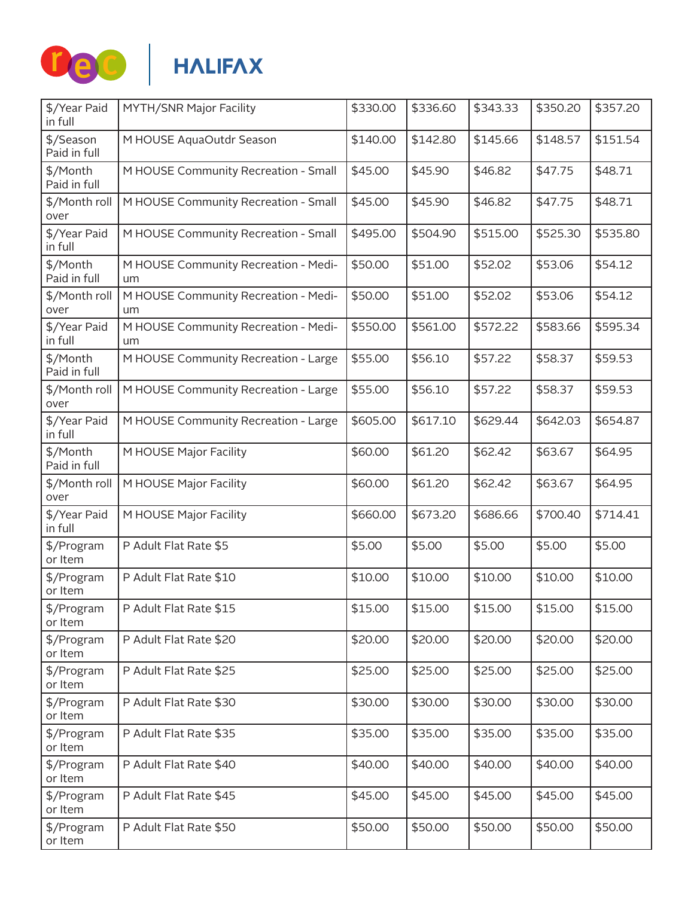

| \$/Year Paid<br>in full   | MYTH/SNR Major Facility                    | \$330.00 | \$336.60 | \$343.33 | \$350.20 | \$357.20 |
|---------------------------|--------------------------------------------|----------|----------|----------|----------|----------|
| \$/Season<br>Paid in full | M HOUSE AquaOutdr Season                   | \$140.00 | \$142.80 | \$145.66 | \$148.57 | \$151.54 |
| \$/Month<br>Paid in full  | M HOUSE Community Recreation - Small       | \$45.00  | \$45.90  | \$46.82  | \$47.75  | \$48.71  |
| \$/Month roll<br>over     | M HOUSE Community Recreation - Small       | \$45.00  | \$45.90  | \$46.82  | \$47.75  | \$48.71  |
| \$/Year Paid<br>in full   | M HOUSE Community Recreation - Small       | \$495.00 | \$504.90 | \$515.00 | \$525.30 | \$535.80 |
| \$/Month<br>Paid in full  | M HOUSE Community Recreation - Medi-<br>um | \$50.00  | \$51.00  | \$52.02  | \$53.06  | \$54.12  |
| \$/Month roll<br>over     | M HOUSE Community Recreation - Medi-<br>um | \$50.00  | \$51.00  | \$52.02  | \$53.06  | \$54.12  |
| \$/Year Paid<br>in full   | M HOUSE Community Recreation - Medi-<br>um | \$550.00 | \$561.00 | \$572.22 | \$583.66 | \$595.34 |
| \$/Month<br>Paid in full  | M HOUSE Community Recreation - Large       | \$55.00  | \$56.10  | \$57.22  | \$58.37  | \$59.53  |
| \$/Month roll<br>over     | M HOUSE Community Recreation - Large       | \$55.00  | \$56.10  | \$57.22  | \$58.37  | \$59.53  |
| \$/Year Paid<br>in full   | M HOUSE Community Recreation - Large       | \$605.00 | \$617.10 | \$629.44 | \$642.03 | \$654.87 |
| \$/Month<br>Paid in full  | M HOUSE Major Facility                     | \$60.00  | \$61.20  | \$62.42  | \$63.67  | \$64.95  |
| \$/Month roll<br>over     | M HOUSE Major Facility                     | \$60.00  | \$61.20  | \$62.42  | \$63.67  | \$64.95  |
| \$/Year Paid<br>in full   | M HOUSE Major Facility                     | \$660.00 | \$673.20 | \$686.66 | \$700.40 | \$714.41 |
| \$/Program<br>or Item     | P Adult Flat Rate \$5                      | \$5.00   | \$5.00   | \$5.00   | \$5.00   | \$5.00   |
| \$/Program<br>or Item     | P Adult Flat Rate \$10                     | \$10.00  | \$10.00  | \$10.00  | \$10.00  | \$10.00  |
| \$/Program<br>or Item     | P Adult Flat Rate \$15                     | \$15.00  | \$15.00  | \$15.00  | \$15.00  | \$15.00  |
| \$/Program<br>or Item     | P Adult Flat Rate \$20                     | \$20.00  | \$20.00  | \$20.00  | \$20.00  | \$20.00  |
| \$/Program<br>or Item     | P Adult Flat Rate \$25                     | \$25.00  | \$25.00  | \$25.00  | \$25.00  | \$25.00  |
| \$/Program<br>or Item     | P Adult Flat Rate \$30                     | \$30.00  | \$30.00  | \$30.00  | \$30.00  | \$30.00  |
| \$/Program<br>or Item     | P Adult Flat Rate \$35                     | \$35.00  | \$35.00  | \$35.00  | \$35.00  | \$35.00  |
| \$/Program<br>or Item     | P Adult Flat Rate \$40                     | \$40.00  | \$40.00  | \$40.00  | \$40.00  | \$40.00  |
| \$/Program<br>or Item     | P Adult Flat Rate \$45                     | \$45.00  | \$45.00  | \$45.00  | \$45.00  | \$45.00  |
| \$/Program<br>or Item     | P Adult Flat Rate \$50                     | \$50.00  | \$50.00  | \$50.00  | \$50.00  | \$50.00  |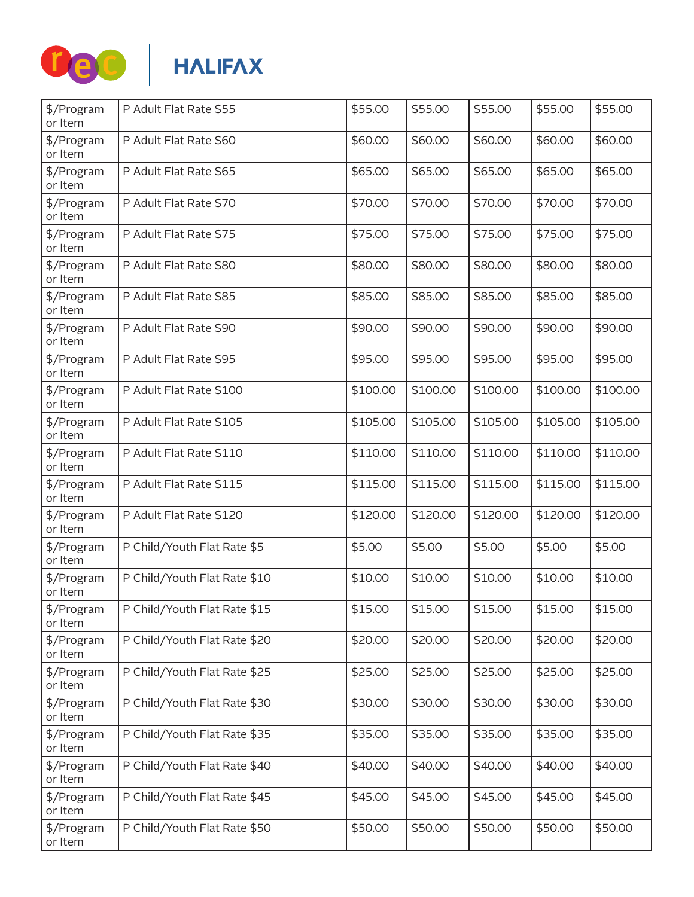

| \$/Program<br>or Item | P Adult Flat Rate \$55       | \$55.00  | \$55.00  | \$55.00  | \$55.00  | \$55.00  |
|-----------------------|------------------------------|----------|----------|----------|----------|----------|
| \$/Program<br>or Item | P Adult Flat Rate \$60       | \$60.00  | \$60.00  | \$60.00  | \$60.00  | \$60.00  |
| \$/Program<br>or Item | P Adult Flat Rate \$65       | \$65.00  | \$65.00  | \$65.00  | \$65.00  | \$65.00  |
| \$/Program<br>or Item | P Adult Flat Rate \$70       | \$70.00  | \$70.00  | \$70.00  | \$70.00  | \$70.00  |
| \$/Program<br>or Item | P Adult Flat Rate \$75       | \$75.00  | \$75.00  | \$75.00  | \$75.00  | \$75.00  |
| \$/Program<br>or Item | P Adult Flat Rate \$80       | \$80.00  | \$80.00  | \$80.00  | \$80.00  | \$80.00  |
| \$/Program<br>or Item | P Adult Flat Rate \$85       | \$85.00  | \$85.00  | \$85.00  | \$85.00  | \$85.00  |
| \$/Program<br>or Item | P Adult Flat Rate \$90       | \$90.00  | \$90.00  | \$90.00  | \$90.00  | \$90.00  |
| \$/Program<br>or Item | P Adult Flat Rate \$95       | \$95.00  | \$95.00  | \$95.00  | \$95.00  | \$95.00  |
| \$/Program<br>or Item | P Adult Flat Rate \$100      | \$100.00 | \$100.00 | \$100.00 | \$100.00 | \$100.00 |
| \$/Program<br>or Item | P Adult Flat Rate \$105      | \$105.00 | \$105.00 | \$105.00 | \$105.00 | \$105.00 |
| \$/Program<br>or Item | P Adult Flat Rate \$110      | \$110.00 | \$110.00 | \$110.00 | \$110.00 | \$110.00 |
| \$/Program<br>or Item | P Adult Flat Rate \$115      | \$115.00 | \$115.00 | \$115.00 | \$115.00 | \$115.00 |
| \$/Program<br>or Item | P Adult Flat Rate \$120      | \$120.00 | \$120.00 | \$120.00 | \$120.00 | \$120.00 |
| \$/Program<br>or Item | P Child/Youth Flat Rate \$5  | \$5.00   | \$5.00   | \$5.00   | \$5.00   | \$5.00   |
| \$/Program<br>or Item | P Child/Youth Flat Rate \$10 | \$10.00  | \$10.00  | \$10.00  | \$10.00  | \$10.00  |
| \$/Program<br>or Item | P Child/Youth Flat Rate \$15 | \$15.00  | \$15.00  | \$15.00  | \$15.00  | \$15.00  |
| \$/Program<br>or Item | P Child/Youth Flat Rate \$20 | \$20.00  | \$20.00  | \$20.00  | \$20.00  | \$20.00  |
| \$/Program<br>or Item | P Child/Youth Flat Rate \$25 | \$25.00  | \$25.00  | \$25.00  | \$25.00  | \$25.00  |
| \$/Program<br>or Item | P Child/Youth Flat Rate \$30 | \$30.00  | \$30.00  | \$30.00  | \$30.00  | \$30.00  |
| \$/Program<br>or Item | P Child/Youth Flat Rate \$35 | \$35.00  | \$35.00  | \$35.00  | \$35.00  | \$35.00  |
| \$/Program<br>or Item | P Child/Youth Flat Rate \$40 | \$40.00  | \$40.00  | \$40.00  | \$40.00  | \$40.00  |
| \$/Program<br>or Item | P Child/Youth Flat Rate \$45 | \$45.00  | \$45.00  | \$45.00  | \$45.00  | \$45.00  |
| \$/Program<br>or Item | P Child/Youth Flat Rate \$50 | \$50.00  | \$50.00  | \$50.00  | \$50.00  | \$50.00  |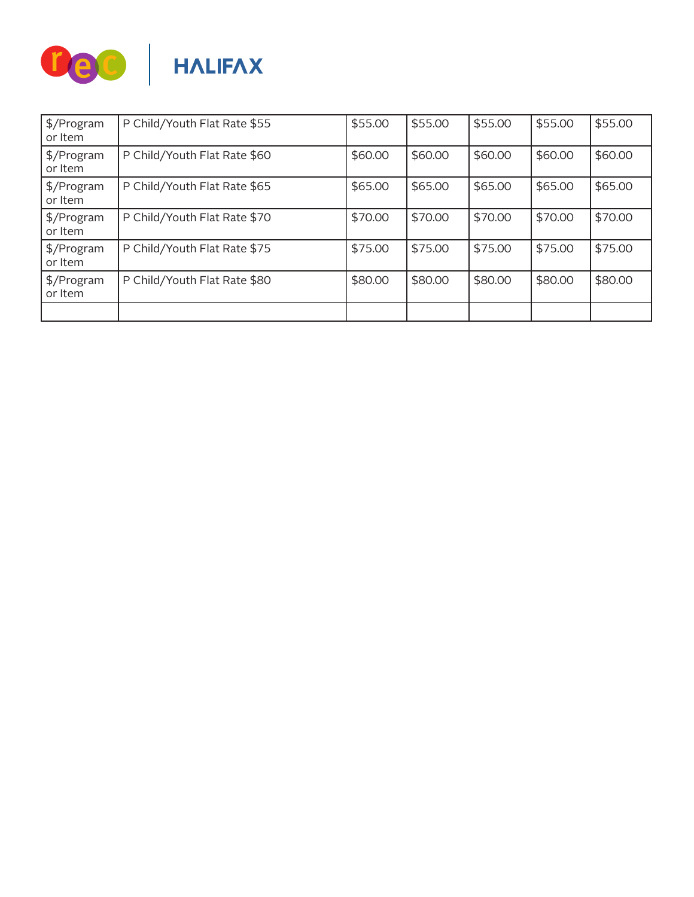

| $\frac{1}{2}$ /Program<br>or Item | P Child/Youth Flat Rate \$55 | \$55.00 | \$55.00 | \$55.00 | \$55.00 | \$55.00 |
|-----------------------------------|------------------------------|---------|---------|---------|---------|---------|
| \$/Program<br>or Item             | P Child/Youth Flat Rate \$60 | \$60.00 | \$60.00 | \$60.00 | \$60.00 | \$60.00 |
| $\frac{1}{2}$ /Program<br>or Item | P Child/Youth Flat Rate \$65 | \$65.00 | \$65.00 | \$65.00 | \$65.00 | \$65.00 |
| $\frac{1}{2}$ /Program<br>or Item | P Child/Youth Flat Rate \$70 | \$70.00 | \$70.00 | \$70.00 | \$70.00 | \$70.00 |
| \$/Program<br>or Item             | P Child/Youth Flat Rate \$75 | \$75.00 | \$75.00 | \$75.00 | \$75.00 | \$75.00 |
| \$/Program<br>or Item             | P Child/Youth Flat Rate \$80 | \$80.00 | \$80.00 | \$80.00 | \$80.00 | \$80.00 |
|                                   |                              |         |         |         |         |         |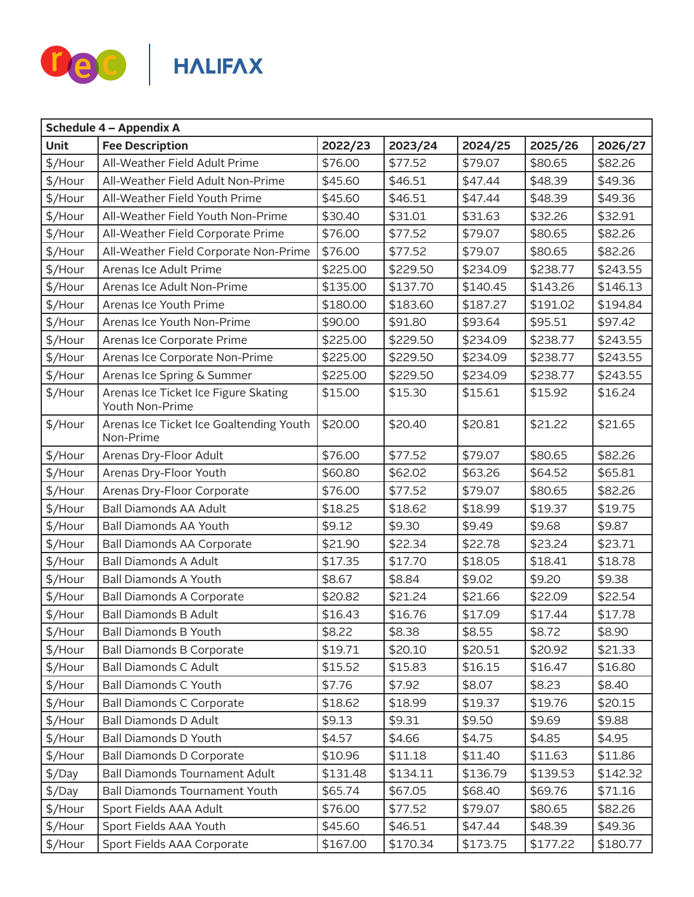

| <b>Schedule 4 - Appendix A</b> |                                                         |          |          |          |          |          |  |  |
|--------------------------------|---------------------------------------------------------|----------|----------|----------|----------|----------|--|--|
| Unit                           | <b>Fee Description</b>                                  | 2022/23  | 2023/24  | 2024/25  | 2025/26  | 2026/27  |  |  |
| \$/Hour                        | All-Weather Field Adult Prime                           | \$76.00  | \$77.52  | \$79.07  | \$80.65  | \$82.26  |  |  |
| \$/Hour                        | All-Weather Field Adult Non-Prime                       | \$45.60  | \$46.51  | \$47.44  | \$48.39  | \$49.36  |  |  |
| \$/Hour                        | All-Weather Field Youth Prime                           | \$45.60  | \$46.51  | \$47.44  | \$48.39  | \$49.36  |  |  |
| \$/Hour                        | All-Weather Field Youth Non-Prime                       | \$30.40  | \$31.01  | \$31.63  | \$32.26  | \$32.91  |  |  |
| \$/Hour                        | All-Weather Field Corporate Prime                       | \$76.00  | \$77.52  | \$79.07  | \$80.65  | \$82.26  |  |  |
| \$/Hour                        | All-Weather Field Corporate Non-Prime                   | \$76.00  | \$77.52  | \$79.07  | \$80.65  | \$82.26  |  |  |
| \$/Hour                        | Arenas Ice Adult Prime                                  | \$225.00 | \$229.50 | \$234.09 | \$238.77 | \$243.55 |  |  |
| \$/Hour                        | Arenas Ice Adult Non-Prime                              | \$135.00 | \$137.70 | \$140.45 | \$143.26 | \$146.13 |  |  |
| \$/Hour                        | Arenas Ice Youth Prime                                  | \$180.00 | \$183.60 | \$187.27 | \$191.02 | \$194.84 |  |  |
| \$/Hour                        | Arenas Ice Youth Non-Prime                              | \$90.00  | \$91.80  | \$93.64  | \$95.51  | \$97.42  |  |  |
| \$/Hour                        | Arenas Ice Corporate Prime                              | \$225.00 | \$229.50 | \$234.09 | \$238.77 | \$243.55 |  |  |
| \$/Hour                        | Arenas Ice Corporate Non-Prime                          | \$225.00 | \$229.50 | \$234.09 | \$238.77 | \$243.55 |  |  |
| \$/Hour                        | Arenas Ice Spring & Summer                              | \$225.00 | \$229.50 | \$234.09 | \$238.77 | \$243.55 |  |  |
| \$/Hour                        | Arenas Ice Ticket Ice Figure Skating<br>Youth Non-Prime | \$15.00  | \$15.30  | \$15.61  | \$15.92  | \$16.24  |  |  |
| \$/Hour                        | Arenas Ice Ticket Ice Goaltending Youth<br>Non-Prime    | \$20.00  | \$20.40  | \$20.81  | \$21.22  | \$21.65  |  |  |
| \$/Hour                        | Arenas Dry-Floor Adult                                  | \$76.00  | \$77.52  | \$79.07  | \$80.65  | \$82.26  |  |  |
| \$/Hour                        | Arenas Dry-Floor Youth                                  | \$60.80  | \$62.02  | \$63.26  | \$64.52  | \$65.81  |  |  |
| \$/Hour                        | Arenas Dry-Floor Corporate                              | \$76.00  | \$77.52  | \$79.07  | \$80.65  | \$82.26  |  |  |
| \$/Hour                        | <b>Ball Diamonds AA Adult</b>                           | \$18.25  | \$18.62  | \$18.99  | \$19.37  | \$19.75  |  |  |
| \$/Hour                        | <b>Ball Diamonds AA Youth</b>                           | \$9.12   | \$9.30   | \$9.49   | \$9.68   | \$9.87   |  |  |
| \$/Hour                        | <b>Ball Diamonds AA Corporate</b>                       | \$21.90  | \$22.34  | \$22.78  | \$23.24  | \$23.71  |  |  |
| \$/Hour                        | <b>Ball Diamonds A Adult</b>                            | \$17.35  | \$17.70  | \$18.05  | \$18.41  | \$18.78  |  |  |
| \$/Hour                        | <b>Ball Diamonds A Youth</b>                            | \$8.67   | \$8.84   | \$9.02   | \$9.20   | \$9.38   |  |  |
| \$/Hour                        | <b>Ball Diamonds A Corporate</b>                        | \$20.82  | \$21.24  | \$21.66  | \$22.09  | \$22.54  |  |  |
| \$/Hour                        | <b>Ball Diamonds B Adult</b>                            | \$16.43  | \$16.76  | \$17.09  | \$17.44  | \$17.78  |  |  |
| \$/Hour                        | <b>Ball Diamonds B Youth</b>                            | \$8.22   | \$8.38   | \$8.55   | \$8.72   | \$8.90   |  |  |
| \$/Hour                        | <b>Ball Diamonds B Corporate</b>                        | \$19.71  | \$20.10  | \$20.51  | \$20.92  | \$21.33  |  |  |
| \$/Hour                        | <b>Ball Diamonds C Adult</b>                            | \$15.52  | \$15.83  | \$16.15  | \$16.47  | \$16.80  |  |  |
| \$/Hour                        | <b>Ball Diamonds C Youth</b>                            | \$7.76   | \$7.92   | \$8.07   | \$8.23   | \$8.40   |  |  |
| \$/Hour                        | <b>Ball Diamonds C Corporate</b>                        | \$18.62  | \$18.99  | \$19.37  | \$19.76  | \$20.15  |  |  |
| \$/Hour                        | <b>Ball Diamonds D Adult</b>                            | \$9.13   | \$9.31   | \$9.50   | \$9.69   | \$9.88   |  |  |
| \$/Hour                        | <b>Ball Diamonds D Youth</b>                            | \$4.57   | \$4.66   | \$4.75   | \$4.85   | \$4.95   |  |  |
| $$/$ Hour                      | <b>Ball Diamonds D Corporate</b>                        | \$10.96  | \$11.18  | \$11.40  | \$11.63  | \$11.86  |  |  |
| \$/Day                         | <b>Ball Diamonds Tournament Adult</b>                   | \$131.48 | \$134.11 | \$136.79 | \$139.53 | \$142.32 |  |  |
| $\frac{1}{2}$ /Day             | Ball Diamonds Tournament Youth                          | \$65.74  | \$67.05  | \$68.40  | \$69.76  | \$71.16  |  |  |
| \$/Hour                        | Sport Fields AAA Adult                                  | \$76.00  | \$77.52  | \$79.07  | \$80.65  | \$82.26  |  |  |
| \$/Hour                        | Sport Fields AAA Youth                                  | \$45.60  | \$46.51  | \$47.44  | \$48.39  | \$49.36  |  |  |
| \$/Hour                        | Sport Fields AAA Corporate                              | \$167.00 | \$170.34 | \$173.75 | \$177.22 | \$180.77 |  |  |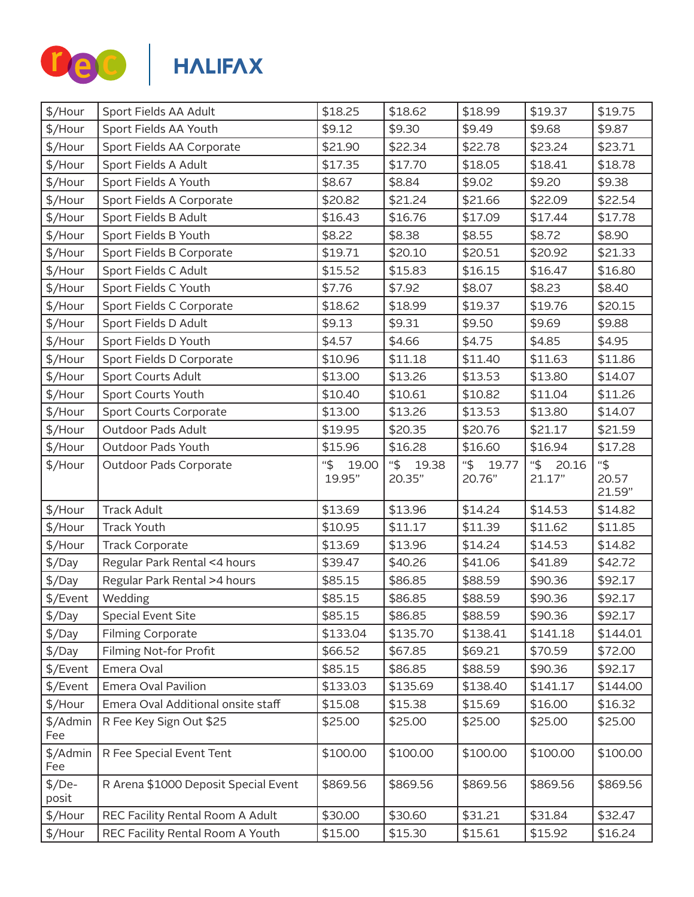

| \$/Hour            | Sport Fields AA Adult                | \$18.25                | \$18.62                | \$18.99                | \$19.37                | \$19.75                |
|--------------------|--------------------------------------|------------------------|------------------------|------------------------|------------------------|------------------------|
| \$/Hour            | Sport Fields AA Youth                | \$9.12                 | \$9.30                 | \$9.49                 | \$9.68                 | \$9.87                 |
| \$/Hour            | Sport Fields AA Corporate            | \$21.90                | \$22.34                | \$22.78                | \$23.24                | \$23.71                |
| \$/Hour            | Sport Fields A Adult                 | \$17.35                | \$17.70                | \$18.05                | \$18.41                | \$18.78                |
| \$/Hour            | Sport Fields A Youth                 | \$8.67                 | \$8.84                 | \$9.02                 | \$9.20                 | \$9.38                 |
| \$/Hour            | Sport Fields A Corporate             | \$20.82                | \$21.24                | \$21.66                | \$22.09                | \$22.54                |
| \$/Hour            | Sport Fields B Adult                 | \$16.43                | \$16.76                | \$17.09                | \$17.44                | \$17.78                |
| \$/Hour            | Sport Fields B Youth                 | \$8.22                 | \$8.38                 | \$8.55                 | \$8.72                 | \$8.90                 |
| \$/Hour            | Sport Fields B Corporate             | \$19.71                | \$20.10                | \$20.51                | \$20.92                | \$21.33                |
| \$/Hour            | Sport Fields C Adult                 | \$15.52                | \$15.83                | \$16.15                | \$16.47                | \$16.80                |
| \$/Hour            | Sport Fields C Youth                 | \$7.76                 | \$7.92                 | \$8.07                 | \$8.23                 | \$8.40                 |
| \$/Hour            | Sport Fields C Corporate             | \$18.62                | \$18.99                | \$19.37                | \$19.76                | \$20.15                |
| \$/Hour            | Sport Fields D Adult                 | \$9.13                 | \$9.31                 | \$9.50                 | \$9.69                 | \$9.88                 |
| \$/Hour            | Sport Fields D Youth                 | \$4.57                 | \$4.66                 | \$4.75                 | \$4.85                 | \$4.95                 |
| \$/Hour            | Sport Fields D Corporate             | \$10.96                | \$11.18                | \$11.40                | \$11.63                | \$11.86                |
| \$/Hour            | <b>Sport Courts Adult</b>            | \$13.00                | \$13.26                | \$13.53                | \$13.80                | \$14.07                |
| \$/Hour            | Sport Courts Youth                   | \$10.40                | \$10.61                | \$10.82                | \$11.04                | \$11.26                |
| \$/Hour            | <b>Sport Courts Corporate</b>        | \$13.00                | \$13.26                | \$13.53                | \$13.80                | \$14.07                |
| \$/Hour            | Outdoor Pads Adult                   | \$19.95                | \$20.35                | \$20.76                | \$21.17                | \$21.59                |
| \$/Hour            | Outdoor Pads Youth                   | \$15.96                | \$16.28                | \$16.60                | \$16.94                | \$17.28                |
| \$/Hour            | Outdoor Pads Corporate               | "\$<br>19.00<br>19.95" | "\$<br>19.38<br>20.35" | "\$<br>19.77<br>20.76" | "\$<br>20.16<br>21.17" | "\$<br>20.57<br>21.59" |
| \$/Hour            | <b>Track Adult</b>                   | \$13.69                | \$13.96                | \$14.24                | \$14.53                | \$14.82                |
| \$/Hour            | <b>Track Youth</b>                   | \$10.95                | \$11.17                | \$11.39                | \$11.62                | \$11.85                |
| \$/Hour            | <b>Track Corporate</b>               | \$13.69                | \$13.96                | \$14.24                | \$14.53                | \$14.82                |
| $\frac{1}{2}$ /Day | Regular Park Rental <4 hours         | \$39.47                | \$40.26                | \$41.06                | \$41.89                | \$42.72                |
| $\frac{1}{2}$ /Day | Regular Park Rental >4 hours         | \$85.15                | \$86.85                | \$88.59                | \$90.36                | \$92.17                |
| \$/Event           | Wedding                              | \$85.15                | \$86.85                | \$88.59                | \$90.36                | \$92.17                |
| $\frac{1}{2}$ /Day | <b>Special Event Site</b>            | \$85.15                | \$86.85                | \$88.59                | \$90.36                | \$92.17                |
| $\frac{1}{2}$ /Day | <b>Filming Corporate</b>             | \$133.04               | \$135.70               | \$138.41               | \$141.18               | \$144.01               |
| $\frac{1}{2}$ /Day | Filming Not-for Profit               | \$66.52                | \$67.85                | \$69.21                | \$70.59                | \$72.00                |
| \$/Event           | Emera Oval                           | \$85.15                | \$86.85                | \$88.59                | \$90.36                | \$92.17                |
| \$/Event           | Emera Oval Pavilion                  | \$133.03               | \$135.69               | \$138.40               | \$141.17               | \$144.00               |
| \$/Hour            | Emera Oval Additional onsite staff   | \$15.08                | \$15.38                | \$15.69                | \$16.00                | \$16.32                |
| \$/Admin<br>Fee    | R Fee Key Sign Out \$25              | \$25.00                | \$25.00                | \$25.00                | \$25.00                | \$25.00                |
| \$/Admin<br>Fee    | R Fee Special Event Tent             | \$100.00               | \$100.00               | \$100.00               | \$100.00               | \$100.00               |
| $$/De-$<br>posit   | R Arena \$1000 Deposit Special Event | \$869.56               | \$869.56               | \$869.56               | \$869.56               | \$869.56               |
| \$/Hour            | REC Facility Rental Room A Adult     | \$30.00                | \$30.60                | \$31.21                | \$31.84                | \$32.47                |
| \$/Hour            | REC Facility Rental Room A Youth     | \$15.00                | \$15.30                | \$15.61                | \$15.92                | \$16.24                |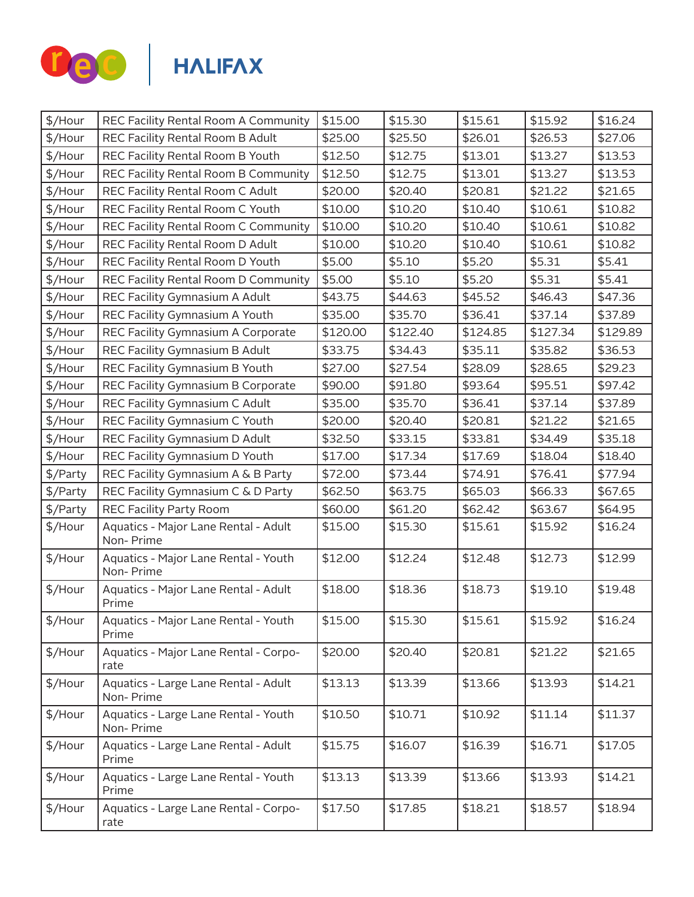

|                                                   |                                      |                    |          |          | \$16.24  |
|---------------------------------------------------|--------------------------------------|--------------------|----------|----------|----------|
| REC Facility Rental Room B Adult                  |                                      | \$25.50            | \$26.01  | \$26.53  | \$27.06  |
| REC Facility Rental Room B Youth                  | \$12.50                              | \$12.75            | \$13.01  | \$13.27  | \$13.53  |
| REC Facility Rental Room B Community              | \$12.50                              | \$12.75            | \$13.01  | \$13.27  | \$13.53  |
| REC Facility Rental Room C Adult                  | \$20.00                              | \$20.40            | \$20.81  | \$21.22  | \$21.65  |
| REC Facility Rental Room C Youth                  | \$10.00                              | \$10.20            | \$10.40  | \$10.61  | \$10.82  |
| REC Facility Rental Room C Community              | \$10.00                              | \$10.20            | \$10.40  | \$10.61  | \$10.82  |
| REC Facility Rental Room D Adult                  | \$10.00                              | \$10.20            | \$10.40  | \$10.61  | \$10.82  |
| REC Facility Rental Room D Youth                  | \$5.00                               | \$5.10             | \$5.20   | \$5.31   | \$5.41   |
| REC Facility Rental Room D Community              | \$5.00                               | \$5.10             | \$5.20   | \$5.31   | \$5.41   |
| REC Facility Gymnasium A Adult                    | \$43.75                              | \$44.63            | \$45.52  | \$46.43  | \$47.36  |
| REC Facility Gymnasium A Youth                    | \$35.00                              | \$35.70            | \$36.41  | \$37.14  | \$37.89  |
| REC Facility Gymnasium A Corporate                | \$120.00                             | \$122.40           | \$124.85 | \$127.34 | \$129.89 |
| REC Facility Gymnasium B Adult                    | \$33.75                              | \$34.43            | \$35.11  | \$35.82  | \$36.53  |
| REC Facility Gymnasium B Youth                    | \$27.00                              | \$27.54            | \$28.09  | \$28.65  | \$29.23  |
| REC Facility Gymnasium B Corporate                | \$90.00                              | \$91.80            | \$93.64  | \$95.51  | \$97.42  |
| REC Facility Gymnasium C Adult                    | \$35.00                              | \$35.70            | \$36.41  | \$37.14  | \$37.89  |
| REC Facility Gymnasium C Youth                    | \$20.00                              | \$20.40            | \$20.81  | \$21.22  | \$21.65  |
| REC Facility Gymnasium D Adult                    | \$32.50                              | \$33.15            | \$33.81  | \$34.49  | \$35.18  |
| REC Facility Gymnasium D Youth                    | \$17.00                              | \$17.34            | \$17.69  | \$18.04  | \$18.40  |
| REC Facility Gymnasium A & B Party                | \$72.00                              | \$73.44            | \$74.91  | \$76.41  | \$77.94  |
| REC Facility Gymnasium C & D Party                | \$62.50                              | \$63.75            | \$65.03  | \$66.33  | \$67.65  |
| REC Facility Party Room                           | \$60.00                              | \$61.20            | \$62.42  | \$63.67  | \$64.95  |
| Aquatics - Major Lane Rental - Adult<br>Non-Prime | \$15.00                              | \$15.30            | \$15.61  | \$15.92  | \$16.24  |
| Aquatics - Major Lane Rental - Youth<br>Non-Prime | \$12.00                              | \$12.24            | \$12.48  | \$12.73  | \$12.99  |
| Aquatics - Major Lane Rental - Adult<br>Prime     | \$18.00                              | \$18.36            | \$18.73  | \$19.10  | \$19.48  |
| Aquatics - Major Lane Rental - Youth<br>Prime     | \$15.00                              | \$15.30            | \$15.61  | \$15.92  | \$16.24  |
| Aquatics - Major Lane Rental - Corpo-<br>rate     | \$20.00                              | \$20.40            | \$20.81  | \$21.22  | \$21.65  |
| Aquatics - Large Lane Rental - Adult<br>Non-Prime | \$13.13                              | \$13.39            | \$13.66  | \$13.93  | \$14.21  |
| Aquatics - Large Lane Rental - Youth<br>Non-Prime | \$10.50                              | \$10.71            | \$10.92  | \$11.14  | \$11.37  |
| Aquatics - Large Lane Rental - Adult<br>Prime     | \$15.75                              | \$16.07            | \$16.39  | \$16.71  | \$17.05  |
| Aquatics - Large Lane Rental - Youth<br>Prime     | \$13.13                              | \$13.39            | \$13.66  | \$13.93  | \$14.21  |
| Aquatics - Large Lane Rental - Corpo-<br>rate     | \$17.50                              | \$17.85            | \$18.21  | \$18.57  | \$18.94  |
|                                                   | REC Facility Rental Room A Community | \$15.00<br>\$25.00 | \$15.30  | \$15.61  | \$15.92  |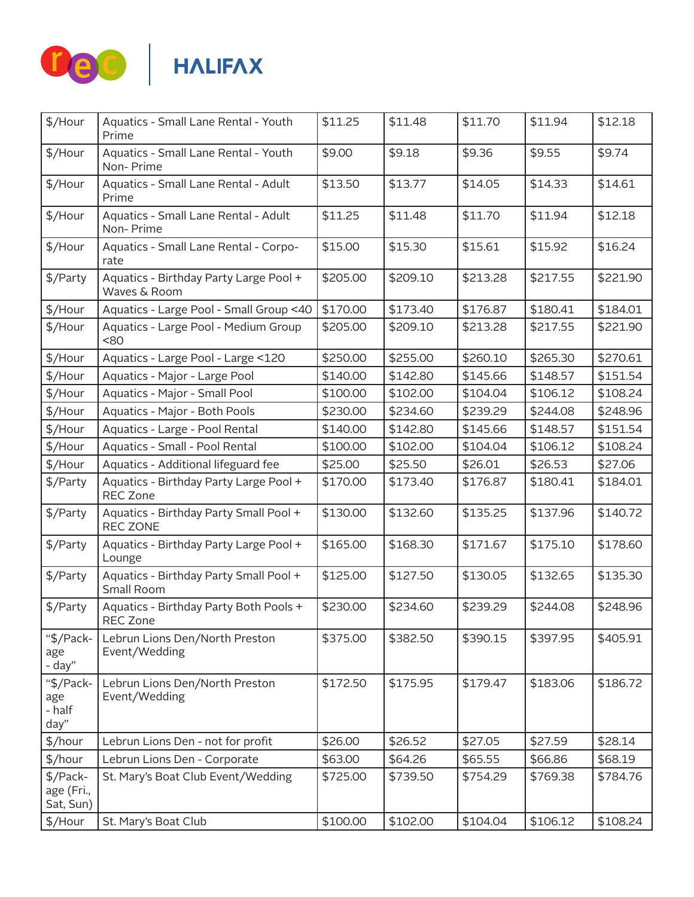

| \$/Hour                             | Aquatics - Small Lane Rental - Youth                      | \$11.25  | \$11.48  | \$11.70  | \$11.94  | \$12.18  |
|-------------------------------------|-----------------------------------------------------------|----------|----------|----------|----------|----------|
|                                     | Prime                                                     |          |          |          |          |          |
| \$/Hour                             | Aquatics - Small Lane Rental - Youth<br>Non-Prime         | \$9.00   | \$9.18   | \$9.36   | \$9.55   | \$9.74   |
| \$/Hour                             | Aquatics - Small Lane Rental - Adult<br>Prime             | \$13.50  | \$13.77  | \$14.05  | \$14.33  | \$14.61  |
| \$/Hour                             | Aquatics - Small Lane Rental - Adult<br>Non-Prime         | \$11.25  | \$11.48  | \$11.70  | \$11.94  | \$12.18  |
| \$/Hour                             | Aquatics - Small Lane Rental - Corpo-<br>rate             | \$15.00  | \$15.30  | \$15.61  | \$15.92  | \$16.24  |
| \$/Party                            | Aquatics - Birthday Party Large Pool +<br>Waves & Room    | \$205.00 | \$209.10 | \$213.28 | \$217.55 | \$221.90 |
| \$/Hour                             | Aquatics - Large Pool - Small Group <40                   | \$170.00 | \$173.40 | \$176.87 | \$180.41 | \$184.01 |
| \$/Hour                             | Aquatics - Large Pool - Medium Group<br><80               | \$205.00 | \$209.10 | \$213.28 | \$217.55 | \$221.90 |
| \$/Hour                             | Aquatics - Large Pool - Large <120                        | \$250.00 | \$255.00 | \$260.10 | \$265.30 | \$270.61 |
| \$/Hour                             | Aquatics - Major - Large Pool                             | \$140.00 | \$142.80 | \$145.66 | \$148.57 | \$151.54 |
| \$/Hour                             | Aquatics - Major - Small Pool                             | \$100.00 | \$102.00 | \$104.04 | \$106.12 | \$108.24 |
| \$/Hour                             | Aquatics - Major - Both Pools                             | \$230.00 | \$234.60 | \$239.29 | \$244.08 | \$248.96 |
| \$/Hour                             | Aquatics - Large - Pool Rental                            | \$140.00 | \$142.80 | \$145.66 | \$148.57 | \$151.54 |
| \$/Hour                             | Aquatics - Small - Pool Rental                            | \$100.00 | \$102.00 | \$104.04 | \$106.12 | \$108.24 |
| \$/Hour                             | Aquatics - Additional lifeguard fee                       | \$25.00  | \$25.50  | \$26.01  | \$26.53  | \$27.06  |
| \$/Party                            | Aquatics - Birthday Party Large Pool +<br><b>REC Zone</b> | \$170.00 | \$173.40 | \$176.87 | \$180.41 | \$184.01 |
| \$/Party                            | Aquatics - Birthday Party Small Pool +<br><b>REC ZONE</b> | \$130.00 | \$132.60 | \$135.25 | \$137.96 | \$140.72 |
| \$/Party                            | Aquatics - Birthday Party Large Pool +<br>Lounge          | \$165.00 | \$168.30 | \$171.67 | \$175.10 | \$178.60 |
| \$/Party                            | Aquatics - Birthday Party Small Pool +<br>Small Room      | \$125.00 | \$127.50 | \$130.05 | \$132.65 | \$135.30 |
| \$/Party                            | Aquatics - Birthday Party Both Pools +<br>REC Zone        | \$230.00 | \$234.60 | \$239.29 | \$244.08 | \$248.96 |
| "\$/Pack-<br>age<br>- day"          | Lebrun Lions Den/North Preston<br>Event/Wedding           | \$375.00 | \$382.50 | \$390.15 | \$397.95 | \$405.91 |
| "\$/Pack-<br>age<br>- half<br>day"  | Lebrun Lions Den/North Preston<br>Event/Wedding           | \$172.50 | \$175.95 | \$179.47 | \$183.06 | \$186.72 |
| \$/hour                             | Lebrun Lions Den - not for profit                         | \$26.00  | \$26.52  | \$27.05  | \$27.59  | \$28.14  |
| \$/hour                             | Lebrun Lions Den - Corporate                              | \$63.00  | \$64.26  | \$65.55  | \$66.86  | \$68.19  |
| \$/Pack-<br>age (Fri.,<br>Sat, Sun) | St. Mary's Boat Club Event/Wedding                        | \$725.00 | \$739.50 | \$754.29 | \$769.38 | \$784.76 |
| \$/Hour                             | St. Mary's Boat Club                                      | \$100.00 | \$102.00 | \$104.04 | \$106.12 | \$108.24 |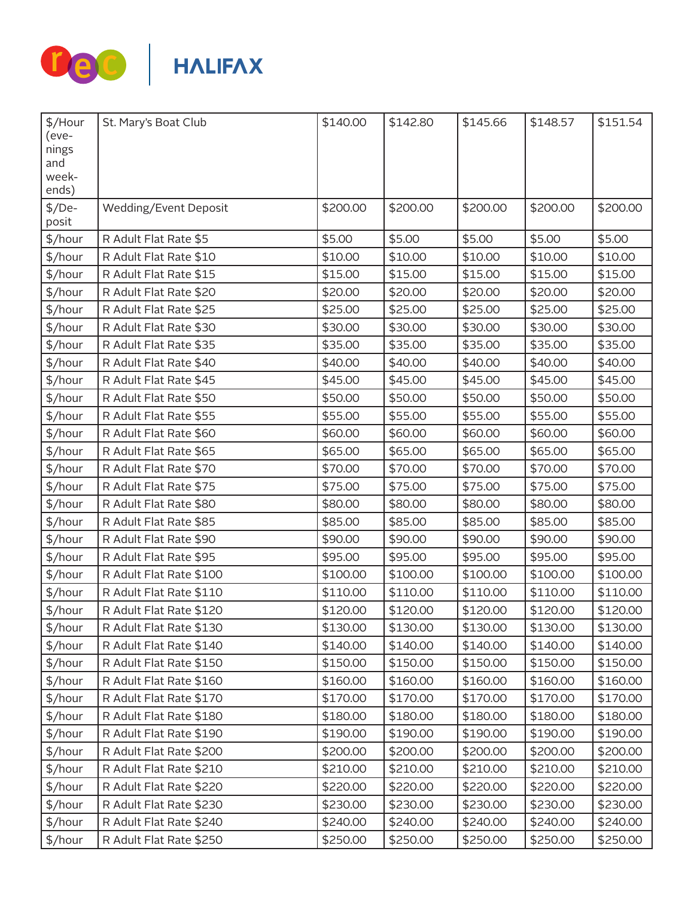

| \$/Hour<br>(eve-<br>nings<br>and | St. Mary's Boat Club    | \$140.00 | \$142.80 | \$145.66 | \$148.57 | \$151.54 |
|----------------------------------|-------------------------|----------|----------|----------|----------|----------|
| week-<br>ends)                   |                         |          |          |          |          |          |
| $$/De-$<br>posit                 | Wedding/Event Deposit   | \$200.00 | \$200.00 | \$200.00 | \$200.00 | \$200.00 |
| \$/hour                          | R Adult Flat Rate \$5   | \$5.00   | \$5.00   | \$5.00   | \$5.00   | \$5.00   |
| \$/hour                          | R Adult Flat Rate \$10  | \$10.00  | \$10.00  | \$10.00  | \$10.00  | \$10.00  |
| \$/hour                          | R Adult Flat Rate \$15  | \$15.00  | \$15.00  | \$15.00  | \$15.00  | \$15.00  |
| \$/hour                          | R Adult Flat Rate \$20  | \$20.00  | \$20.00  | \$20.00  | \$20.00  | \$20.00  |
| \$/hour                          | R Adult Flat Rate \$25  | \$25.00  | \$25.00  | \$25.00  | \$25.00  | \$25.00  |
| \$/hour                          | R Adult Flat Rate \$30  | \$30.00  | \$30.00  | \$30.00  | \$30.00  | \$30.00  |
| \$/hour                          | R Adult Flat Rate \$35  | \$35.00  | \$35.00  | \$35.00  | \$35.00  | \$35.00  |
| \$/hour                          | R Adult Flat Rate \$40  | \$40.00  | \$40.00  | \$40.00  | \$40.00  | \$40.00  |
| \$/hour                          | R Adult Flat Rate \$45  | \$45.00  | \$45.00  | \$45.00  | \$45.00  | \$45.00  |
| \$/hour                          | R Adult Flat Rate \$50  | \$50.00  | \$50.00  | \$50.00  | \$50.00  | \$50.00  |
| \$/hour                          | R Adult Flat Rate \$55  | \$55.00  | \$55.00  | \$55.00  | \$55.00  | \$55.00  |
| \$/hour                          | R Adult Flat Rate \$60  | \$60.00  | \$60.00  | \$60.00  | \$60.00  | \$60.00  |
| \$/hour                          | R Adult Flat Rate \$65  | \$65.00  | \$65.00  | \$65.00  | \$65.00  | \$65.00  |
| \$/hour                          | R Adult Flat Rate \$70  | \$70.00  | \$70.00  | \$70.00  | \$70.00  | \$70.00  |
| \$/hour                          | R Adult Flat Rate \$75  | \$75.00  | \$75.00  | \$75.00  | \$75.00  | \$75.00  |
| \$/hour                          | R Adult Flat Rate \$80  | \$80.00  | \$80.00  | \$80.00  | \$80.00  | \$80.00  |
| \$/hour                          | R Adult Flat Rate \$85  | \$85.00  | \$85.00  | \$85.00  | \$85.00  | \$85.00  |
| \$/hour                          | R Adult Flat Rate \$90  | \$90.00  | \$90.00  | \$90.00  | \$90.00  | \$90.00  |
| \$/hour                          | R Adult Flat Rate \$95  | \$95.00  | \$95.00  | \$95.00  | \$95.00  | \$95.00  |
| \$/hour                          | R Adult Flat Rate \$100 | \$100.00 | \$100.00 | \$100.00 | \$100.00 | \$100.00 |
| \$/hour                          | R Adult Flat Rate \$110 | \$110.00 | \$110.00 | \$110.00 | \$110.00 | \$110.00 |
| \$/hour                          | R Adult Flat Rate \$120 | \$120.00 | \$120.00 | \$120.00 | \$120.00 | \$120.00 |
| \$/hour                          | R Adult Flat Rate \$130 | \$130.00 | \$130.00 | \$130.00 | \$130.00 | \$130.00 |
| \$/hour                          | R Adult Flat Rate \$140 | \$140.00 | \$140.00 | \$140.00 | \$140.00 | \$140.00 |
| \$/hour                          | R Adult Flat Rate \$150 | \$150.00 | \$150.00 | \$150.00 | \$150.00 | \$150.00 |
| \$/hour                          | R Adult Flat Rate \$160 | \$160.00 | \$160.00 | \$160.00 | \$160.00 | \$160.00 |
| \$/hour                          | R Adult Flat Rate \$170 | \$170.00 | \$170.00 | \$170.00 | \$170.00 | \$170.00 |
| \$/hour                          | R Adult Flat Rate \$180 | \$180.00 | \$180.00 | \$180.00 | \$180.00 | \$180.00 |
| \$/hour                          | R Adult Flat Rate \$190 | \$190.00 | \$190.00 | \$190.00 | \$190.00 | \$190.00 |
| \$/hour                          | R Adult Flat Rate \$200 | \$200.00 | \$200.00 | \$200.00 | \$200.00 | \$200.00 |
| \$/hour                          | R Adult Flat Rate \$210 | \$210.00 | \$210.00 | \$210.00 | \$210.00 | \$210.00 |
| \$/hour                          | R Adult Flat Rate \$220 | \$220.00 | \$220.00 | \$220.00 | \$220.00 | \$220.00 |
| \$/hour                          | R Adult Flat Rate \$230 | \$230.00 | \$230.00 | \$230.00 | \$230.00 | \$230.00 |
| \$/hour                          | R Adult Flat Rate \$240 | \$240.00 | \$240.00 | \$240.00 | \$240.00 | \$240.00 |
| \$/hour                          | R Adult Flat Rate \$250 | \$250.00 | \$250.00 | \$250.00 | \$250.00 | \$250.00 |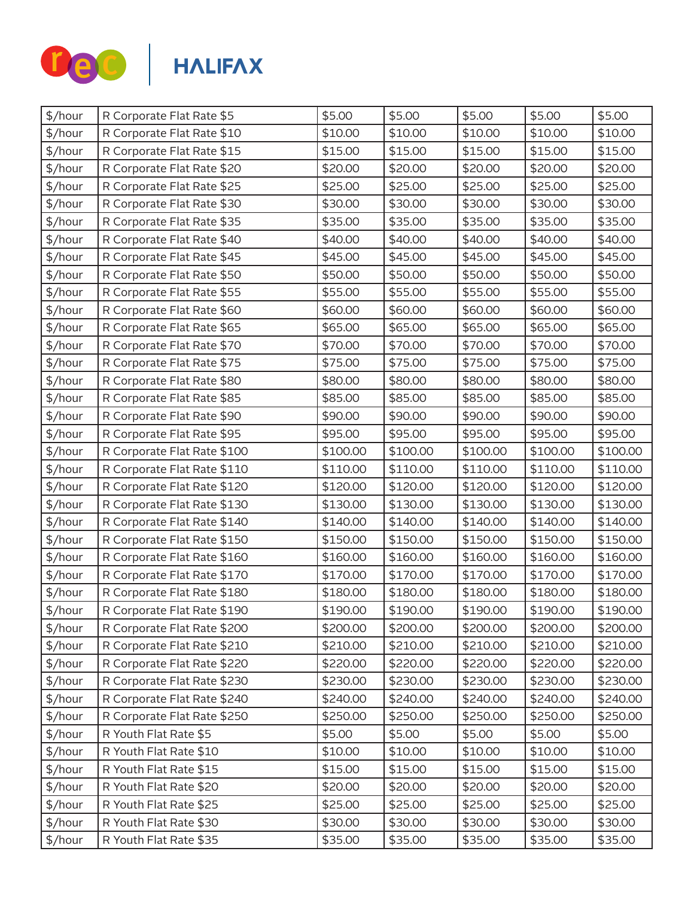

| \$/hour | R Corporate Flat Rate \$5   | \$5.00   | \$5.00   | \$5.00   | \$5.00   | \$5.00   |
|---------|-----------------------------|----------|----------|----------|----------|----------|
| \$/hour | R Corporate Flat Rate \$10  | \$10.00  | \$10.00  | \$10.00  | \$10.00  | \$10.00  |
| \$/hour | R Corporate Flat Rate \$15  | \$15.00  | \$15.00  | \$15.00  | \$15.00  | \$15.00  |
| \$/hour | R Corporate Flat Rate \$20  | \$20.00  | \$20.00  | \$20.00  | \$20.00  | \$20.00  |
| \$/hour | R Corporate Flat Rate \$25  | \$25.00  | \$25.00  | \$25.00  | \$25.00  | \$25.00  |
| \$/hour | R Corporate Flat Rate \$30  | \$30.00  | \$30.00  | \$30.00  | \$30.00  | \$30.00  |
| \$/hour | R Corporate Flat Rate \$35  | \$35.00  | \$35.00  | \$35.00  | \$35.00  | \$35.00  |
| \$/hour | R Corporate Flat Rate \$40  | \$40.00  | \$40.00  | \$40.00  | \$40.00  | \$40.00  |
| \$/hour | R Corporate Flat Rate \$45  | \$45.00  | \$45.00  | \$45.00  | \$45.00  | \$45.00  |
| \$/hour | R Corporate Flat Rate \$50  | \$50.00  | \$50.00  | \$50.00  | \$50.00  | \$50.00  |
| \$/hour | R Corporate Flat Rate \$55  | \$55.00  | \$55.00  | \$55.00  | \$55.00  | \$55.00  |
| \$/hour | R Corporate Flat Rate \$60  | \$60.00  | \$60.00  | \$60.00  | \$60.00  | \$60.00  |
| \$/hour | R Corporate Flat Rate \$65  | \$65.00  | \$65.00  | \$65.00  | \$65.00  | \$65.00  |
| \$/hour | R Corporate Flat Rate \$70  | \$70.00  | \$70.00  | \$70.00  | \$70.00  | \$70.00  |
| \$/hour | R Corporate Flat Rate \$75  | \$75.00  | \$75.00  | \$75.00  | \$75.00  | \$75.00  |
| \$/hour | R Corporate Flat Rate \$80  | \$80.00  | \$80.00  | \$80.00  | \$80.00  | \$80.00  |
| \$/hour | R Corporate Flat Rate \$85  | \$85.00  | \$85.00  | \$85.00  | \$85.00  | \$85.00  |
| \$/hour | R Corporate Flat Rate \$90  | \$90.00  | \$90.00  | \$90.00  | \$90.00  | \$90.00  |
| \$/hour | R Corporate Flat Rate \$95  | \$95.00  | \$95.00  | \$95.00  | \$95.00  | \$95.00  |
| \$/hour | R Corporate Flat Rate \$100 | \$100.00 | \$100.00 | \$100.00 | \$100.00 | \$100.00 |
| \$/hour | R Corporate Flat Rate \$110 | \$110.00 | \$110.00 | \$110.00 | \$110.00 | \$110.00 |
| \$/hour | R Corporate Flat Rate \$120 | \$120.00 | \$120.00 | \$120.00 | \$120.00 | \$120.00 |
| \$/hour | R Corporate Flat Rate \$130 | \$130.00 | \$130.00 | \$130.00 | \$130.00 | \$130.00 |
| \$/hour | R Corporate Flat Rate \$140 | \$140.00 | \$140.00 | \$140.00 | \$140.00 | \$140.00 |
| \$/hour | R Corporate Flat Rate \$150 | \$150.00 | \$150.00 | \$150.00 | \$150.00 | \$150.00 |
| \$/hour | R Corporate Flat Rate \$160 | \$160.00 | \$160.00 | \$160.00 | \$160.00 | \$160.00 |
| \$/hour | R Corporate Flat Rate \$170 | \$170.00 | \$170.00 | \$170.00 | \$170.00 | \$170.00 |
| \$/hour | R Corporate Flat Rate \$180 | \$180.00 | \$180.00 | \$180.00 | \$180.00 | \$180.00 |
| \$/hour | R Corporate Flat Rate \$190 | \$190.00 | \$190.00 | \$190.00 | \$190.00 | \$190.00 |
| \$/hour | R Corporate Flat Rate \$200 | \$200.00 | \$200.00 | \$200.00 | \$200.00 | \$200.00 |
| \$/hour | R Corporate Flat Rate \$210 | \$210.00 | \$210.00 | \$210.00 | \$210.00 | \$210.00 |
| \$/hour | R Corporate Flat Rate \$220 | \$220.00 | \$220.00 | \$220.00 | \$220.00 | \$220.00 |
| \$/hour | R Corporate Flat Rate \$230 | \$230.00 | \$230.00 | \$230.00 | \$230.00 | \$230.00 |
| \$/hour | R Corporate Flat Rate \$240 | \$240.00 | \$240.00 | \$240.00 | \$240.00 | \$240.00 |
| \$/hour | R Corporate Flat Rate \$250 | \$250.00 | \$250.00 | \$250.00 | \$250.00 | \$250.00 |
| \$/hour | R Youth Flat Rate \$5       | \$5.00   | \$5.00   | \$5.00   | \$5.00   | \$5.00   |
| \$/hour | R Youth Flat Rate \$10      | \$10.00  | \$10.00  | \$10.00  | \$10.00  | \$10.00  |
| \$/hour | R Youth Flat Rate \$15      | \$15.00  | \$15.00  | \$15.00  | \$15.00  | \$15.00  |
| \$/hour | R Youth Flat Rate \$20      | \$20.00  | \$20.00  | \$20.00  | \$20.00  | \$20.00  |
| \$/hour | R Youth Flat Rate \$25      | \$25.00  | \$25.00  | \$25.00  | \$25.00  | \$25.00  |
| \$/hour | R Youth Flat Rate \$30      | \$30.00  | \$30.00  | \$30.00  | \$30.00  | \$30.00  |
| \$/hour | R Youth Flat Rate \$35      | \$35.00  | \$35.00  | \$35.00  | \$35.00  | \$35.00  |